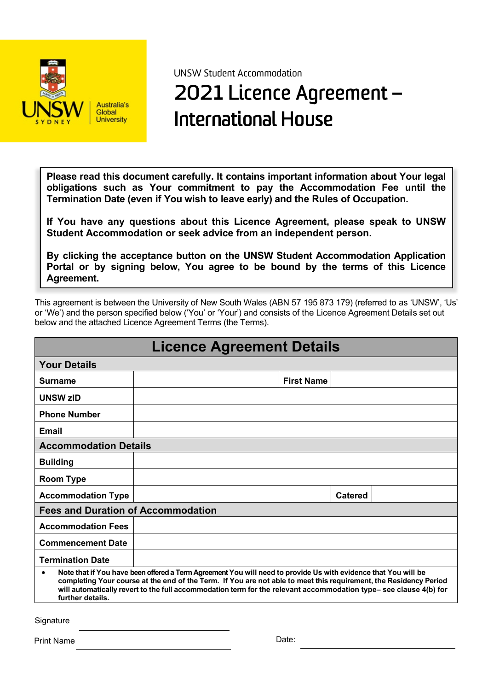

UNSW Student Accommodation

# 2021 Licence Agreement – International House

**Please read this document carefully. It contains important information about Your legal obligations such as Your commitment to pay the Accommodation Fee until the Termination Date (even if You wish to leave early) and the Rules of Occupation.**

**If You have any questions about this Licence Agreement, please speak to UNSW Student Accommodation or seek advice from an independent person.**

**By clicking the acceptance button on the UNSW Student Accommodation Application Portal or by signing below, You agree to be bound by the terms of this Licence Agreement.**

This agreement is between the University of New South Wales (ABN 57 195 873 179) (referred to as 'UNSW', 'Us' or 'We') and the person specified below ('You' or 'Your') and consists of the Licence Agreement Details set out below and the attached Licence Agreement Terms (the Terms).

| <b>Licence Agreement Details</b>                                                                                                                                                                                                                                                                                                                                                         |  |                   |                |  |
|------------------------------------------------------------------------------------------------------------------------------------------------------------------------------------------------------------------------------------------------------------------------------------------------------------------------------------------------------------------------------------------|--|-------------------|----------------|--|
| <b>Your Details</b>                                                                                                                                                                                                                                                                                                                                                                      |  |                   |                |  |
| Surname                                                                                                                                                                                                                                                                                                                                                                                  |  | <b>First Name</b> |                |  |
| <b>UNSW zID</b>                                                                                                                                                                                                                                                                                                                                                                          |  |                   |                |  |
| <b>Phone Number</b>                                                                                                                                                                                                                                                                                                                                                                      |  |                   |                |  |
| Email                                                                                                                                                                                                                                                                                                                                                                                    |  |                   |                |  |
| <b>Accommodation Details</b>                                                                                                                                                                                                                                                                                                                                                             |  |                   |                |  |
| <b>Building</b>                                                                                                                                                                                                                                                                                                                                                                          |  |                   |                |  |
| <b>Room Type</b>                                                                                                                                                                                                                                                                                                                                                                         |  |                   |                |  |
| <b>Accommodation Type</b>                                                                                                                                                                                                                                                                                                                                                                |  |                   | <b>Catered</b> |  |
| <b>Fees and Duration of Accommodation</b>                                                                                                                                                                                                                                                                                                                                                |  |                   |                |  |
| <b>Accommodation Fees</b>                                                                                                                                                                                                                                                                                                                                                                |  |                   |                |  |
| <b>Commencement Date</b>                                                                                                                                                                                                                                                                                                                                                                 |  |                   |                |  |
| <b>Termination Date</b>                                                                                                                                                                                                                                                                                                                                                                  |  |                   |                |  |
| Note that if You have been offered a Term Agreement You will need to provide Us with evidence that You will be<br>$\bullet$<br>completing Your course at the end of the Term. If You are not able to meet this requirement, the Residency Period<br>will automatically revert to the full accommodation term for the relevant accommodation type-see clause 4(b) for<br>further details. |  |                   |                |  |

**Signature** 

Print Name Date: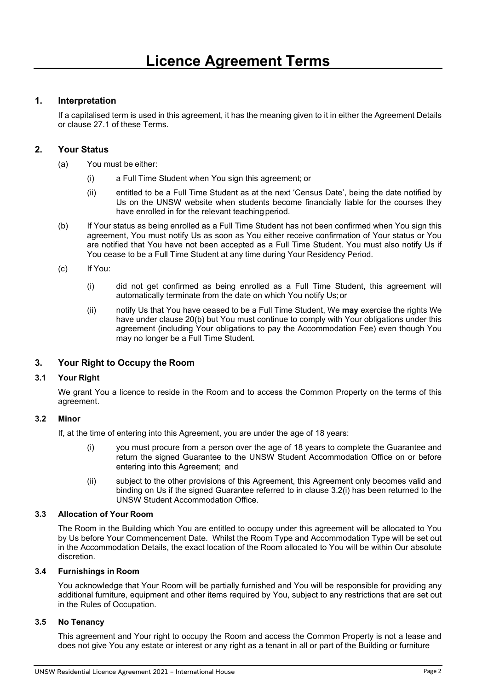# **1. Interpretation**

If a capitalised term is used in this agreement, it has the meaning given to it in either the Agreement Details or clause 27.1 of these Terms.

# **2. Your Status**

- (a) You must be either:
	- (i) a Full Time Student when You sign this agreement; or
	- (ii) entitled to be a Full Time Student as at the next 'Census Date', being the date notified by Us on the UNSW website when students become financially liable for the courses they have enrolled in for the relevant teaching period.
- (b) If Your status as being enrolled as a Full Time Student has not been confirmed when You sign this agreement, You must notify Us as soon as You either receive confirmation of Your status or You are notified that You have not been accepted as a Full Time Student. You must also notify Us if You cease to be a Full Time Student at any time during Your Residency Period.
- (c) If You:
	- (i) did not get confirmed as being enrolled as a Full Time Student, this agreement will automatically terminate from the date on which You notify Us;or
	- (ii) notify Us that You have ceased to be a Full Time Student, We **may** exercise the rights We have under clause 20(b) but You must continue to comply with Your obligations under this agreement (including Your obligations to pay the Accommodation Fee) even though You may no longer be a Full Time Student.

# **3. Your Right to Occupy the Room**

#### **3.1 Your Right**

We grant You a licence to reside in the Room and to access the Common Property on the terms of this agreement.

#### **3.2 Minor**

If, at the time of entering into this Agreement, you are under the age of 18 years:

- (i) you must procure from a person over the age of 18 years to complete the Guarantee and return the signed Guarantee to the UNSW Student Accommodation Office on or before entering into this Agreement; and
- (ii) subject to the other provisions of this Agreement, this Agreement only becomes valid and binding on Us if the signed Guarantee referred to in clause 3.2(i) has been returned to the UNSW Student Accommodation Office.

#### **3.3 Allocation of Your Room**

The Room in the Building which You are entitled to occupy under this agreement will be allocated to You by Us before Your Commencement Date. Whilst the Room Type and Accommodation Type will be set out in the Accommodation Details, the exact location of the Room allocated to You will be within Our absolute discretion.

#### **3.4 Furnishings in Room**

You acknowledge that Your Room will be partially furnished and You will be responsible for providing any additional furniture, equipment and other items required by You, subject to any restrictions that are set out in the Rules of Occupation.

#### **3.5 No Tenancy**

This agreement and Your right to occupy the Room and access the Common Property is not a lease and does not give You any estate or interest or any right as a tenant in all or part of the Building or furniture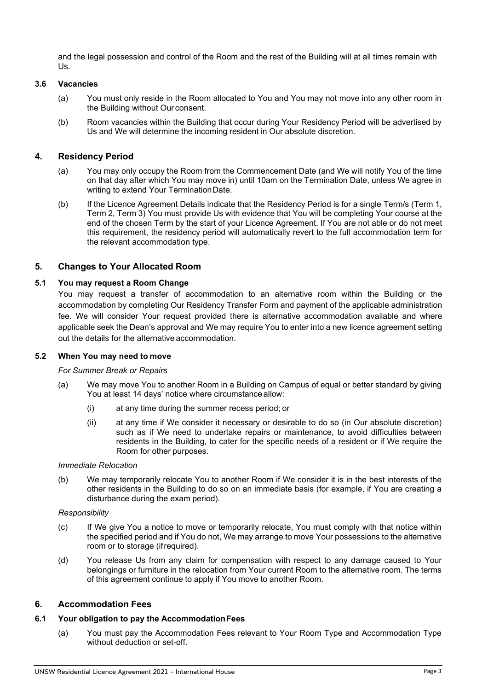and the legal possession and control of the Room and the rest of the Building will at all times remain with Us.

# **3.6 Vacancies**

- (a) You must only reside in the Room allocated to You and You may not move into any other room in the Building without Our consent.
- (b) Room vacancies within the Building that occur during Your Residency Period will be advertised by Us and We will determine the incoming resident in Our absolute discretion.

# **4. Residency Period**

- (a) You may only occupy the Room from the Commencement Date (and We will notify You of the time on that day after which You may move in) until 10am on the Termination Date, unless We agree in writing to extend Your TerminationDate.
- (b) If the Licence Agreement Details indicate that the Residency Period is for a single Term/s (Term 1, Term 2, Term 3) You must provide Us with evidence that You will be completing Your course at the end of the chosen Term by the start of your Licence Agreement. If You are not able or do not meet this requirement, the residency period will automatically revert to the full accommodation term for the relevant accommodation type.

# **5. Changes to Your Allocated Room**

# **5.1 You may request a Room Change**

You may request a transfer of accommodation to an alternative room within the Building or the accommodation by completing Our Residency Transfer Form and payment of the applicable administration fee. We will consider Your request provided there is alternative accommodation available and where applicable seek the Dean's approval and We may require You to enter into a new licence agreement setting out the details for the alternative accommodation.

#### **5.2 When You may need to move**

#### *For Summer Break or Repairs*

- (a) We may move You to another Room in a Building on Campus of equal or better standard by giving You at least 14 days' notice where circumstance allow:
	- (i) at any time during the summer recess period; or
	- (ii) at any time if We consider it necessary or desirable to do so (in Our absolute discretion) such as if We need to undertake repairs or maintenance, to avoid difficulties between residents in the Building, to cater for the specific needs of a resident or if We require the Room for other purposes.

#### *Immediate Relocation*

(b) We may temporarily relocate You to another Room if We consider it is in the best interests of the other residents in the Building to do so on an immediate basis (for example, if You are creating a disturbance during the exam period).

#### *Responsibility*

- (c) If We give You a notice to move or temporarily relocate, You must comply with that notice within the specified period and if You do not, We may arrange to move Your possessions to the alternative room or to storage (ifrequired).
- (d) You release Us from any claim for compensation with respect to any damage caused to Your belongings or furniture in the relocation from Your current Room to the alternative room. The terms of this agreement continue to apply if You move to another Room.

# **6. Accommodation Fees**

#### **6.1 Your obligation to pay the AccommodationFees**

(a) You must pay the Accommodation Fees relevant to Your Room Type and Accommodation Type without deduction or set-off.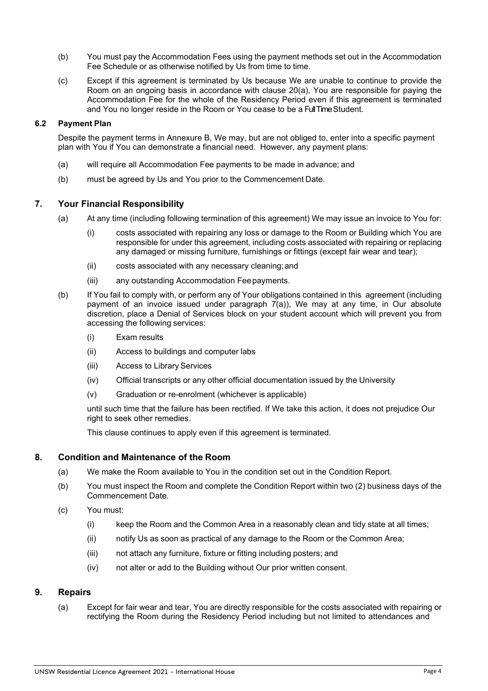- (b) You must pay the Accommodation Fees using the payment methods set out in the Accommodation Fee Schedule or as otherwise notified by Us from time to time.
- (c) Except if this agreement is terminated by Us because We are unable to continue to provide the Room on an ongoing basis in accordance with clause 20(a), You are responsible for paying the Accommodation Fee for the whole of the Residency Period even if this agreement is terminated and You no longer reside in the Room or You cease to be a Full Time Student.

#### **6.2 Payment Plan**

Despite the payment terms in Annexure B, We may, but are not obliged to, enter into a specific payment plan with You if You can demonstrate a financial need. However, any payment plans:

- (a) will require all Accommodation Fee payments to be made in advance; and
- (b) must be agreed by Us and You prior to the Commencement Date.

# **7. Your Financial Responsibility**

- (a) At any time (including following termination of this agreement) We may issue an invoice to You for:
	- (i) costs associated with repairing any loss or damage to the Room or Building which You are responsible for under this agreement, including costs associated with repairing or replacing any damaged or missing furniture, furnishings or fittings (except fair wear and tear);
	- (ii) costs associated with any necessary cleaning;and
	- (iii) any outstanding Accommodation Feepayments.
- (b) If You fail to comply with, or perform any of Your obligations contained in this agreement (including payment of an invoice issued under paragraph  $7(a)$ ), We may at any time, in Our absolute discretion, place a Denial of Services block on your student account which will prevent you from accessing the following services:
	- (i) Exam results
	- (ii) Access to buildings and computer labs
	- (iii) Access to Library Services
	- (iv) Official transcripts or any other official documentation issued by the University
	- (v) Graduation or re-enrolment (whichever is applicable)

until such time that the failure has been rectified. If We take this action, it does not prejudice Our right to seek other remedies.

This clause continues to apply even if this agreement is terminated.

#### **8. Condition and Maintenance of the Room**

- (a) We make the Room available to You in the condition set out in the Condition Report.
- (b) You must inspect the Room and complete the Condition Report within two (2) business days of the Commencement Date.
- (c) You must:
	- (i) keep the Room and the Common Area in a reasonably clean and tidy state at all times;
	- (ii) notify Us as soon as practical of any damage to the Room or the Common Area;
	- (iii) not attach any furniture, fixture or fitting including posters; and
	- (iv) not alter or add to the Building without Our prior written consent.

#### **9. Repairs**

(a) Except for fair wear and tear, You are directly responsible for the costs associated with repairing or rectifying the Room during the Residency Period including but not limited to attendances and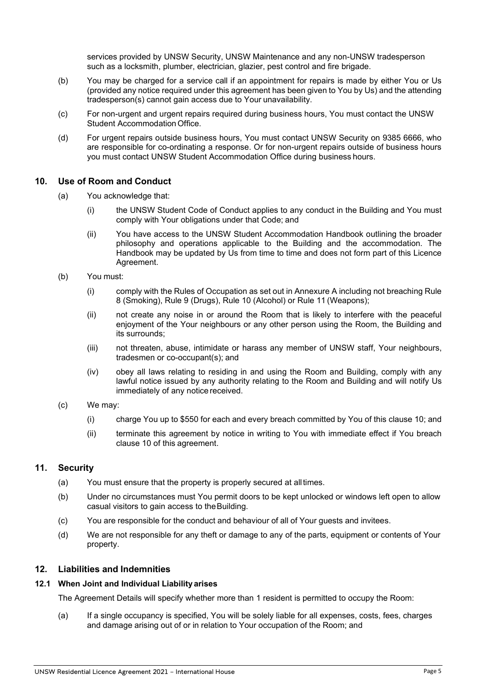services provided by UNSW Security, UNSW Maintenance and any non-UNSW tradesperson such as a locksmith, plumber, electrician, glazier, pest control and fire brigade.

- (b) You may be charged for a service call if an appointment for repairs is made by either You or Us (provided any notice required under this agreement has been given to You by Us) and the attending tradesperson(s) cannot gain access due to Your unavailability.
- (c) For non-urgent and urgent repairs required during business hours, You must contact the UNSW Student Accommodation Office.
- (d) For urgent repairs outside business hours, You must contact UNSW Security on 9385 6666, who are responsible for co-ordinating a response. Or for non-urgent repairs outside of business hours you must contact UNSW Student Accommodation Office during business hours.

#### **10. Use of Room and Conduct**

- (a) You acknowledge that:
	- (i) the UNSW Student Code of Conduct applies to any conduct in the Building and You must comply with Your obligations under that Code; and
	- (ii) You have access to the UNSW Student Accommodation Handbook outlining the broader philosophy and operations applicable to the Building and the accommodation. The Handbook may be updated by Us from time to time and does not form part of this Licence Agreement.
- (b) You must:
	- (i) comply with the Rules of Occupation as set out in Annexure A including not breaching Rule 8 (Smoking), Rule 9 (Drugs), Rule 10 (Alcohol) or Rule 11 (Weapons);
	- (ii) not create any noise in or around the Room that is likely to interfere with the peaceful enjoyment of the Your neighbours or any other person using the Room, the Building and its surrounds;
	- (iii) not threaten, abuse, intimidate or harass any member of UNSW staff, Your neighbours, tradesmen or co-occupant(s); and
	- (iv) obey all laws relating to residing in and using the Room and Building, comply with any lawful notice issued by any authority relating to the Room and Building and will notify Us immediately of any notice received.
- (c) We may:
	- (i) charge You up to \$550 for each and every breach committed by You of this clause 10; and
	- (ii) terminate this agreement by notice in writing to You with immediate effect if You breach clause 10 of this agreement.

#### **11. Security**

- (a) You must ensure that the property is properly secured at alltimes.
- (b) Under no circumstances must You permit doors to be kept unlocked or windows left open to allow casual visitors to gain access to theBuilding.
- (c) You are responsible for the conduct and behaviour of all of Your guests and invitees.
- (d) We are not responsible for any theft or damage to any of the parts, equipment or contents of Your property.

#### **12. Liabilities and Indemnities**

#### **12.1 When Joint and Individual Liability arises**

The Agreement Details will specify whether more than 1 resident is permitted to occupy the Room:

(a) If a single occupancy is specified, You will be solely liable for all expenses, costs, fees, charges and damage arising out of or in relation to Your occupation of the Room; and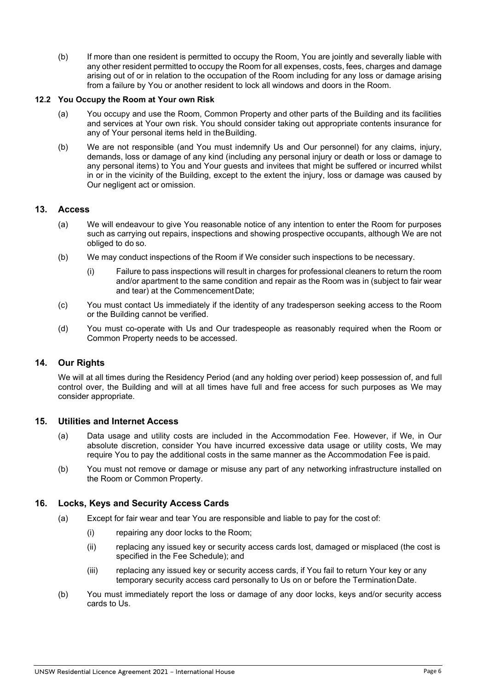(b) If more than one resident is permitted to occupy the Room, You are jointly and severally liable with any other resident permitted to occupy the Room for all expenses, costs, fees, charges and damage arising out of or in relation to the occupation of the Room including for any loss or damage arising from a failure by You or another resident to lock all windows and doors in the Room.

#### **12.2 You Occupy the Room at Your own Risk**

- (a) You occupy and use the Room, Common Property and other parts of the Building and its facilities and services at Your own risk. You should consider taking out appropriate contents insurance for any of Your personal items held in theBuilding.
- (b) We are not responsible (and You must indemnify Us and Our personnel) for any claims, injury, demands, loss or damage of any kind (including any personal injury or death or loss or damage to any personal items) to You and Your guests and invitees that might be suffered or incurred whilst in or in the vicinity of the Building, except to the extent the injury, loss or damage was caused by Our negligent act or omission.

# **13. Access**

- (a) We will endeavour to give You reasonable notice of any intention to enter the Room for purposes such as carrying out repairs, inspections and showing prospective occupants, although We are not obliged to do so.
- (b) We may conduct inspections of the Room if We consider such inspections to be necessary.
	- (i) Failure to pass inspections will result in charges for professional cleaners to return the room and/or apartment to the same condition and repair as the Room was in (subject to fair wear and tear) at the CommencementDate;
- (c) You must contact Us immediately if the identity of any tradesperson seeking access to the Room or the Building cannot be verified.
- (d) You must co-operate with Us and Our tradespeople as reasonably required when the Room or Common Property needs to be accessed.

# **14. Our Rights**

We will at all times during the Residency Period (and any holding over period) keep possession of, and full control over, the Building and will at all times have full and free access for such purposes as We may consider appropriate.

#### **15. Utilities and Internet Access**

- (a) Data usage and utility costs are included in the Accommodation Fee. However, if We, in Our absolute discretion, consider You have incurred excessive data usage or utility costs, We may require You to pay the additional costs in the same manner as the Accommodation Fee is paid.
- (b) You must not remove or damage or misuse any part of any networking infrastructure installed on the Room or Common Property.

# **16. Locks, Keys and Security Access Cards**

- (a) Except for fair wear and tear You are responsible and liable to pay for the cost of:
	- (i) repairing any door locks to the Room;
	- (ii) replacing any issued key or security access cards lost, damaged or misplaced (the cost is specified in the Fee Schedule); and
	- (iii) replacing any issued key or security access cards, if You fail to return Your key or any temporary security access card personally to Us on or before the TerminationDate.
- (b) You must immediately report the loss or damage of any door locks, keys and/or security access cards to Us.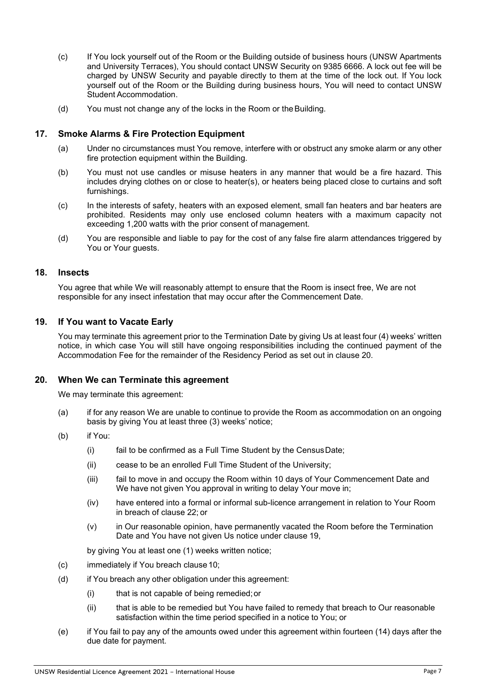- (c) If You lock yourself out of the Room or the Building outside of business hours (UNSW Apartments and University Terraces), You should contact UNSW Security on 9385 6666. A lock out fee will be charged by UNSW Security and payable directly to them at the time of the lock out. If You lock yourself out of the Room or the Building during business hours, You will need to contact UNSW Student Accommodation.
- (d) You must not change any of the locks in the Room or the Building.

# **17. Smoke Alarms & Fire Protection Equipment**

- (a) Under no circumstances must You remove, interfere with or obstruct any smoke alarm or any other fire protection equipment within the Building.
- (b) You must not use candles or misuse heaters in any manner that would be a fire hazard. This includes drying clothes on or close to heater(s), or heaters being placed close to curtains and soft furnishings.
- (c) In the interests of safety, heaters with an exposed element, small fan heaters and bar heaters are prohibited. Residents may only use enclosed column heaters with a maximum capacity not exceeding 1,200 watts with the prior consent of management.
- (d) You are responsible and liable to pay for the cost of any false fire alarm attendances triggered by You or Your guests.

#### **18. Insects**

You agree that while We will reasonably attempt to ensure that the Room is insect free, We are not responsible for any insect infestation that may occur after the Commencement Date.

# **19. If You want to Vacate Early**

You may terminate this agreement prior to the Termination Date by giving Us at least four (4) weeks' written notice, in which case You will still have ongoing responsibilities including the continued payment of the Accommodation Fee for the remainder of the Residency Period as set out in clause 20.

#### **20. When We can Terminate this agreement**

We may terminate this agreement:

- (a) if for any reason We are unable to continue to provide the Room as accommodation on an ongoing basis by giving You at least three (3) weeks' notice;
- (b) if You:
	- (i) fail to be confirmed as a Full Time Student by the CensusDate;
	- (ii) cease to be an enrolled Full Time Student of the University;
	- (iii) fail to move in and occupy the Room within 10 days of Your Commencement Date and We have not given You approval in writing to delay Your move in;
	- (iv) have entered into a formal or informal sub-licence arrangement in relation to Your Room in breach of clause 22; or
	- (v) in Our reasonable opinion, have permanently vacated the Room before the Termination Date and You have not given Us notice under clause 19,

by giving You at least one (1) weeks written notice;

- (c) immediately if You breach clause 10;
- (d) if You breach any other obligation under this agreement:
	- (i) that is not capable of being remedied;or
	- (ii) that is able to be remedied but You have failed to remedy that breach to Our reasonable satisfaction within the time period specified in a notice to You; or
- (e) if You fail to pay any of the amounts owed under this agreement within fourteen (14) days after the due date for payment.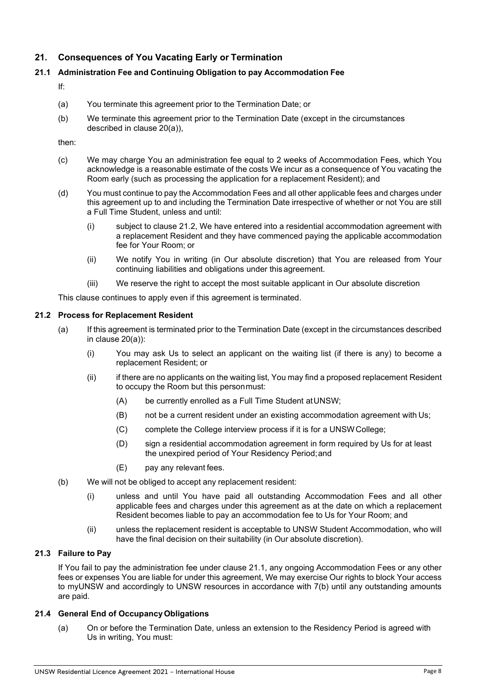# **21. Consequences of You Vacating Early or Termination**

# **21.1 Administration Fee and Continuing Obligation to pay Accommodation Fee**

If:

- (a) You terminate this agreement prior to the Termination Date; or
- (b) We terminate this agreement prior to the Termination Date (except in the circumstances described in clause 20(a)),

then:

- (c) We may charge You an administration fee equal to 2 weeks of Accommodation Fees, which You acknowledge is a reasonable estimate of the costs We incur as a consequence of You vacating the Room early (such as processing the application for a replacement Resident); and
- (d) You must continue to pay the Accommodation Fees and all other applicable fees and charges under this agreement up to and including the Termination Date irrespective of whether or not You are still a Full Time Student, unless and until:
	- (i) subject to clause 21.2, We have entered into a residential accommodation agreement with a replacement Resident and they have commenced paying the applicable accommodation fee for Your Room; or
	- (ii) We notify You in writing (in Our absolute discretion) that You are released from Your continuing liabilities and obligations under this agreement.
	- (iii) We reserve the right to accept the most suitable applicant in Our absolute discretion

This clause continues to apply even if this agreement is terminated.

#### **21.2 Process for Replacement Resident**

- (a) If this agreement is terminated prior to the Termination Date (except in the circumstances described in clause 20(a)):
	- (i) You may ask Us to select an applicant on the waiting list (if there is any) to become a replacement Resident; or
	- (ii) if there are no applicants on the waiting list, You may find a proposed replacement Resident to occupy the Room but this personmust:
		- (A) be currently enrolled as a Full Time Student atUNSW;
		- (B) not be a current resident under an existing accommodation agreement with Us;
		- (C) complete the College interview process if it is for a UNSWCollege;
		- (D) sign a residential accommodation agreement in form required by Us for at least the unexpired period of Your Residency Period;and
		- (E) pay any relevant fees.
- (b) We will not be obliged to accept any replacement resident:
	- (i) unless and until You have paid all outstanding Accommodation Fees and all other applicable fees and charges under this agreement as at the date on which a replacement Resident becomes liable to pay an accommodation fee to Us for Your Room; and
	- (ii) unless the replacement resident is acceptable to UNSW Student Accommodation, who will have the final decision on their suitability (in Our absolute discretion).

# **21.3 Failure to Pay**

If You fail to pay the administration fee under clause 21.1, any ongoing Accommodation Fees or any other fees or expenses You are liable for under this agreement, We may exercise Our rights to block Your access to myUNSW and accordingly to UNSW resources in accordance with 7(b) until any outstanding amounts are paid.

#### **21.4 General End of OccupancyObligations**

(a) On or before the Termination Date, unless an extension to the Residency Period is agreed with Us in writing, You must: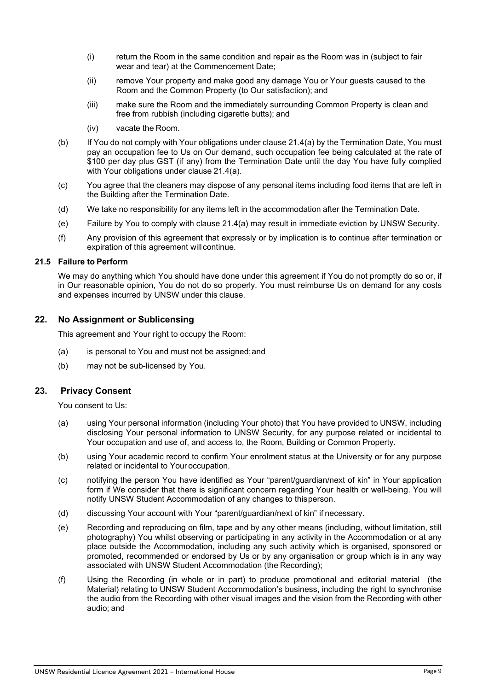- (i) return the Room in the same condition and repair as the Room was in (subject to fair wear and tear) at the Commencement Date;
- (ii) remove Your property and make good any damage You or Your guests caused to the Room and the Common Property (to Our satisfaction); and
- (iii) make sure the Room and the immediately surrounding Common Property is clean and free from rubbish (including cigarette butts); and
- (iv) vacate the Room.
- (b) If You do not comply with Your obligations under clause 21.4(a) by the Termination Date, You must pay an occupation fee to Us on Our demand, such occupation fee being calculated at the rate of \$100 per day plus GST (if any) from the Termination Date until the day You have fully complied with Your obligations under clause 21.4(a).
- (c) You agree that the cleaners may dispose of any personal items including food items that are left in the Building after the Termination Date.
- (d) We take no responsibility for any items left in the accommodation after the Termination Date.
- (e) Failure by You to comply with clause 21.4(a) may result in immediate eviction by UNSW Security.
- (f) Any provision of this agreement that expressly or by implication is to continue after termination or expiration of this agreement willcontinue.

#### **21.5 Failure to Perform**

We may do anything which You should have done under this agreement if You do not promptly do so or, if in Our reasonable opinion, You do not do so properly. You must reimburse Us on demand for any costs and expenses incurred by UNSW under this clause.

# **22. No Assignment or Sublicensing**

This agreement and Your right to occupy the Room:

- (a) is personal to You and must not be assigned;and
- (b) may not be sub-licensed by You.

#### **23. Privacy Consent**

You consent to Us:

- (a) using Your personal information (including Your photo) that You have provided to UNSW, including disclosing Your personal information to UNSW Security, for any purpose related or incidental to Your occupation and use of, and access to, the Room, Building or Common Property.
- (b) using Your academic record to confirm Your enrolment status at the University or for any purpose related or incidental to Your occupation.
- (c) notifying the person You have identified as Your "parent/guardian/next of kin" in Your application form if We consider that there is significant concern regarding Your health or well-being. You will notify UNSW Student Accommodation of any changes to thisperson.
- (d) discussing Your account with Your "parent/guardian/next of kin" if necessary.
- (e) Recording and reproducing on film, tape and by any other means (including, without limitation, still photography) You whilst observing or participating in any activity in the Accommodation or at any place outside the Accommodation, including any such activity which is organised, sponsored or promoted, recommended or endorsed by Us or by any organisation or group which is in any way associated with UNSW Student Accommodation (the Recording);
- (f) Using the Recording (in whole or in part) to produce promotional and editorial material (the Material) relating to UNSW Student Accommodation's business, including the right to synchronise the audio from the Recording with other visual images and the vision from the Recording with other audio; and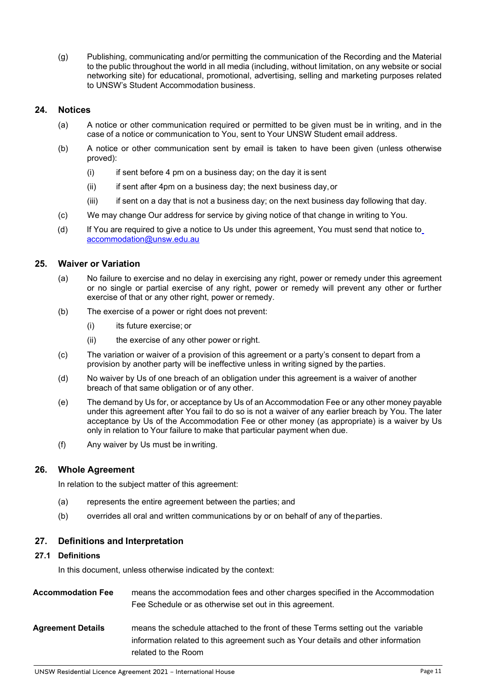(g) Publishing, communicating and/or permitting the communication of the Recording and the Material to the public throughout the world in all media (including, without limitation, on any website or social networking site) for educational, promotional, advertising, selling and marketing purposes related to UNSW's Student Accommodation business.

# **24. Notices**

- (a) A notice or other communication required or permitted to be given must be in writing, and in the case of a notice or communication to You, sent to Your UNSW Student email address.
- (b) A notice or other communication sent by email is taken to have been given (unless otherwise proved):
	- $(i)$  if sent before 4 pm on a business day; on the day it is sent
	- (ii) if sent after 4pm on a business day; the next business day,or
	- (iii) if sent on a day that is not a business day; on the next business day following that day.
- (c) We may change Our address for service by giving notice of that change in writing to You.
- (d) If You are required to give a notice to Us under this agreement, You must send that notice to [accommodation@unsw.edu.au](mailto:accommodation@unsw.edu.au)

# **25. Waiver or Variation**

- (a) No failure to exercise and no delay in exercising any right, power or remedy under this agreement or no single or partial exercise of any right, power or remedy will prevent any other or further exercise of that or any other right, power or remedy.
- (b) The exercise of a power or right does not prevent:
	- (i) its future exercise; or
	- (ii) the exercise of any other power or right.
- (c) The variation or waiver of a provision of this agreement or a party's consent to depart from a provision by another party will be ineffective unless in writing signed by the parties.
- (d) No waiver by Us of one breach of an obligation under this agreement is a waiver of another breach of that same obligation or of any other.
- (e) The demand by Us for, or acceptance by Us of an Accommodation Fee or any other money payable under this agreement after You fail to do so is not a waiver of any earlier breach by You. The later acceptance by Us of the Accommodation Fee or other money (as appropriate) is a waiver by Us only in relation to Your failure to make that particular payment when due.
- (f) Any waiver by Us must be in writing.

#### **26. Whole Agreement**

In relation to the subject matter of this agreement:

- (a) represents the entire agreement between the parties; and
- (b) overrides all oral and written communications by or on behalf of any of theparties.

#### **27. Definitions and Interpretation**

#### **27.1 Definitions**

In this document, unless otherwise indicated by the context:

**Accommodation Fee** means the accommodation fees and other charges specified in the Accommodation Fee Schedule or as otherwise set out in this agreement. **Agreement Details** means the schedule attached to the front of these Terms setting out the variable information related to this agreement such as Your details and other information related to the Room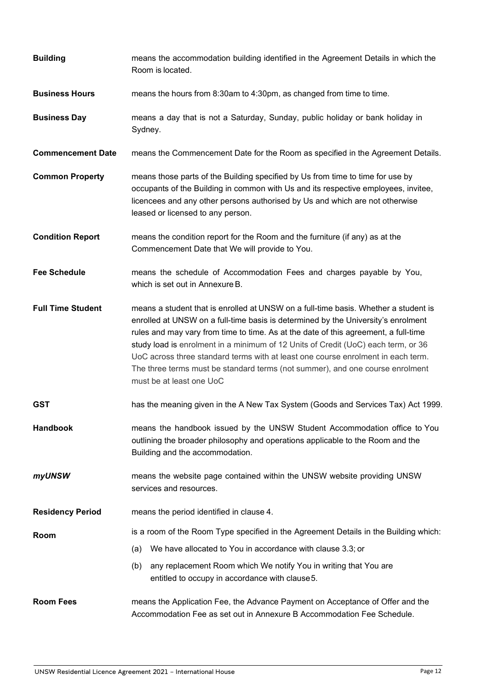| <b>Building</b>          | means the accommodation building identified in the Agreement Details in which the<br>Room is located.                                                                                                                                                                                                                                                                                                                                                                                                                                                 |  |
|--------------------------|-------------------------------------------------------------------------------------------------------------------------------------------------------------------------------------------------------------------------------------------------------------------------------------------------------------------------------------------------------------------------------------------------------------------------------------------------------------------------------------------------------------------------------------------------------|--|
| <b>Business Hours</b>    | means the hours from 8:30am to 4:30pm, as changed from time to time.                                                                                                                                                                                                                                                                                                                                                                                                                                                                                  |  |
| <b>Business Day</b>      | means a day that is not a Saturday, Sunday, public holiday or bank holiday in<br>Sydney.                                                                                                                                                                                                                                                                                                                                                                                                                                                              |  |
| <b>Commencement Date</b> | means the Commencement Date for the Room as specified in the Agreement Details.                                                                                                                                                                                                                                                                                                                                                                                                                                                                       |  |
| <b>Common Property</b>   | means those parts of the Building specified by Us from time to time for use by<br>occupants of the Building in common with Us and its respective employees, invitee,<br>licencees and any other persons authorised by Us and which are not otherwise<br>leased or licensed to any person.                                                                                                                                                                                                                                                             |  |
| <b>Condition Report</b>  | means the condition report for the Room and the furniture (if any) as at the<br>Commencement Date that We will provide to You.                                                                                                                                                                                                                                                                                                                                                                                                                        |  |
| <b>Fee Schedule</b>      | means the schedule of Accommodation Fees and charges payable by You,<br>which is set out in Annexure B.                                                                                                                                                                                                                                                                                                                                                                                                                                               |  |
| <b>Full Time Student</b> | means a student that is enrolled at UNSW on a full-time basis. Whether a student is<br>enrolled at UNSW on a full-time basis is determined by the University's enrolment<br>rules and may vary from time to time. As at the date of this agreement, a full-time<br>study load is enrolment in a minimum of 12 Units of Credit (UoC) each term, or 36<br>UoC across three standard terms with at least one course enrolment in each term.<br>The three terms must be standard terms (not summer), and one course enrolment<br>must be at least one UoC |  |
| <b>GST</b>               | has the meaning given in the A New Tax System (Goods and Services Tax) Act 1999.                                                                                                                                                                                                                                                                                                                                                                                                                                                                      |  |
| <b>Handbook</b>          | means the handbook issued by the UNSW Student Accommodation office to You<br>outlining the broader philosophy and operations applicable to the Room and the<br>Building and the accommodation.                                                                                                                                                                                                                                                                                                                                                        |  |
| myUNSW                   | means the website page contained within the UNSW website providing UNSW<br>services and resources.                                                                                                                                                                                                                                                                                                                                                                                                                                                    |  |
| <b>Residency Period</b>  | means the period identified in clause 4.                                                                                                                                                                                                                                                                                                                                                                                                                                                                                                              |  |
| Room                     | is a room of the Room Type specified in the Agreement Details in the Building which:                                                                                                                                                                                                                                                                                                                                                                                                                                                                  |  |
|                          | We have allocated to You in accordance with clause 3.3; or<br>(a)                                                                                                                                                                                                                                                                                                                                                                                                                                                                                     |  |
|                          | any replacement Room which We notify You in writing that You are<br>(b)<br>entitled to occupy in accordance with clause 5.                                                                                                                                                                                                                                                                                                                                                                                                                            |  |
| <b>Room Fees</b>         | means the Application Fee, the Advance Payment on Acceptance of Offer and the<br>Accommodation Fee as set out in Annexure B Accommodation Fee Schedule.                                                                                                                                                                                                                                                                                                                                                                                               |  |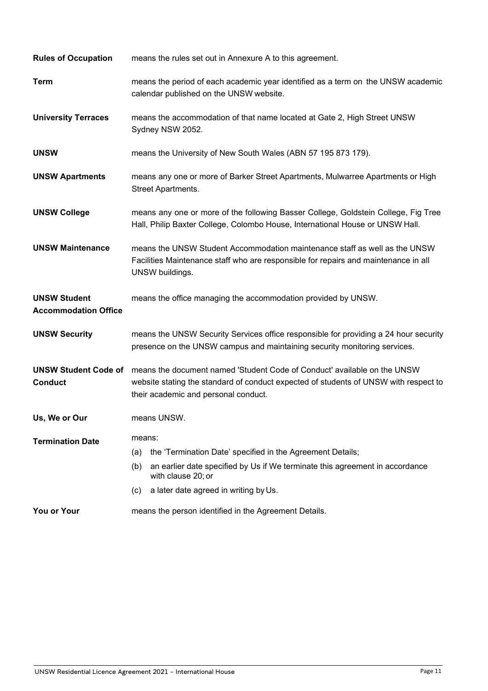| <b>Rules of Occupation</b>                         | means the rules set out in Annexure A to this agreement.                                                                                                                                                                                 |  |
|----------------------------------------------------|------------------------------------------------------------------------------------------------------------------------------------------------------------------------------------------------------------------------------------------|--|
| <b>Term</b>                                        | means the period of each academic year identified as a term on the UNSW academic<br>calendar published on the UNSW website.                                                                                                              |  |
| <b>University Terraces</b>                         | means the accommodation of that name located at Gate 2, High Street UNSW<br>Sydney NSW 2052.                                                                                                                                             |  |
| <b>UNSW</b>                                        | means the University of New South Wales (ABN 57 195 873 179).                                                                                                                                                                            |  |
| <b>UNSW Apartments</b>                             | means any one or more of Barker Street Apartments, Mulwarree Apartments or High<br>Street Apartments.                                                                                                                                    |  |
| <b>UNSW College</b>                                | means any one or more of the following Basser College, Goldstein College, Fig Tree<br>Hall, Philip Baxter College, Colombo House, International House or UNSW Hall.                                                                      |  |
| <b>UNSW Maintenance</b>                            | means the UNSW Student Accommodation maintenance staff as well as the UNSW<br>Facilities Maintenance staff who are responsible for repairs and maintenance in all<br>UNSW buildings.                                                     |  |
| <b>UNSW Student</b><br><b>Accommodation Office</b> | means the office managing the accommodation provided by UNSW.                                                                                                                                                                            |  |
| <b>UNSW Security</b>                               | means the UNSW Security Services office responsible for providing a 24 hour security<br>presence on the UNSW campus and maintaining security monitoring services.                                                                        |  |
| <b>UNSW Student Code of</b><br><b>Conduct</b>      | means the document named 'Student Code of Conduct' available on the UNSW<br>website stating the standard of conduct expected of students of UNSW with respect to<br>their academic and personal conduct.                                 |  |
| Us, We or Our                                      | means UNSW.                                                                                                                                                                                                                              |  |
| <b>Termination Date</b>                            | means:<br>the 'Termination Date' specified in the Agreement Details;<br>(a)<br>an earlier date specified by Us if We terminate this agreement in accordance<br>(b)<br>with clause 20; or<br>a later date agreed in writing by Us.<br>(c) |  |
| You or Your                                        | means the person identified in the Agreement Details.                                                                                                                                                                                    |  |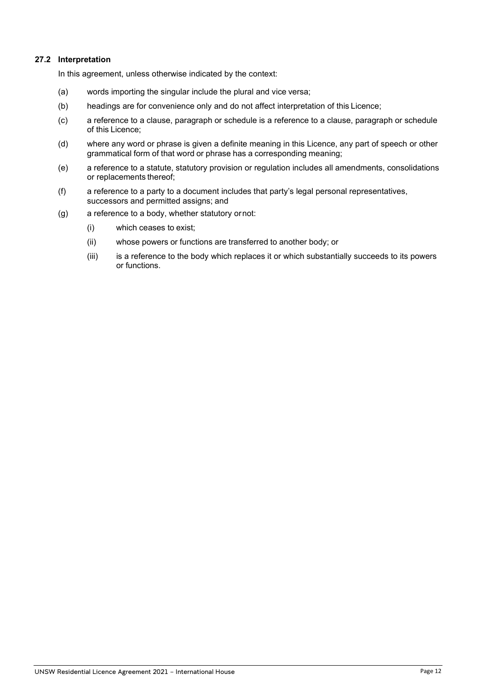# **27.2 Interpretation**

In this agreement, unless otherwise indicated by the context:

- (a) words importing the singular include the plural and vice versa;
- (b) headings are for convenience only and do not affect interpretation of this Licence;
- (c) a reference to a clause, paragraph or schedule is a reference to a clause, paragraph or schedule of this Licence;
- (d) where any word or phrase is given a definite meaning in this Licence, any part of speech or other grammatical form of that word or phrase has a corresponding meaning;
- (e) a reference to a statute, statutory provision or regulation includes all amendments, consolidations or replacements thereof;
- (f) a reference to a party to a document includes that party's legal personal representatives, successors and permitted assigns; and
- (g) a reference to a body, whether statutory ornot:
	- (i) which ceases to exist;
	- (ii) whose powers or functions are transferred to another body; or
	- (iii) is a reference to the body which replaces it or which substantially succeeds to its powers or functions.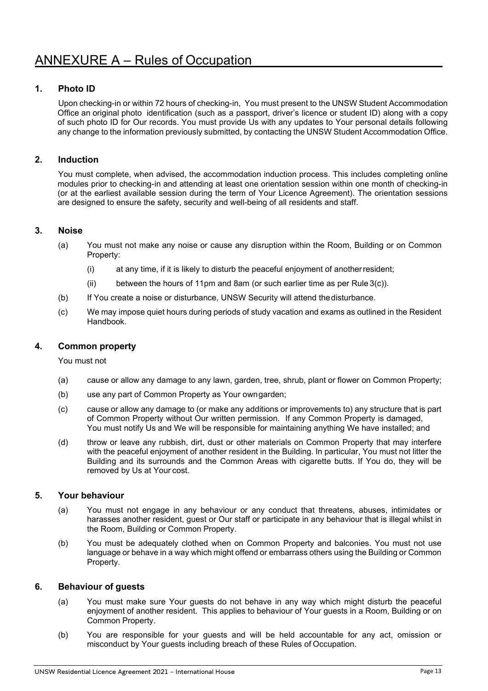# **1. Photo ID**

Upon checking-in or within 72 hours of checking-in, You must present to the UNSW Student Accommodation Office an original photo identification (such as a passport, driver's licence or student ID) along with a copy of such photo ID for Our records. You must provide Us with any updates to Your personal details following any change to the information previously submitted, by contacting the UNSW Student Accommodation Office.

# **2. Induction**

You must complete, when advised, the accommodation induction process. This includes completing online modules prior to checking-in and attending at least one orientation session within one month of checking-in (or at the earliest available session during the term of Your Licence Agreement). The orientation sessions are designed to ensure the safety, security and well-being of all residents and staff.

# **3. Noise**

- (a) You must not make any noise or cause any disruption within the Room, Building or on Common Property:
	- (i) at any time, if it is likely to disturb the peaceful enjoyment of anotherresident;
	- (ii) between the hours of 11pm and 8am (or such earlier time as per Rule  $3(c)$ ).
- (b) If You create a noise or disturbance, UNSW Security will attend thedisturbance.
- (c) We may impose quiet hours during periods of study vacation and exams as outlined in the Resident Handbook.

# **4. Common property**

You must not

- (a) cause or allow any damage to any lawn, garden, tree, shrub, plant or flower on Common Property;
- (b) use any part of Common Property as Your owngarden;
- (c) cause or allow any damage to (or make any additions or improvements to) any structure that is part of Common Property without Our written permission. If any Common Property is damaged, You must notify Us and We will be responsible for maintaining anything We have installed; and
- (d) throw or leave any rubbish, dirt, dust or other materials on Common Property that may interfere with the peaceful enjoyment of another resident in the Building. In particular, You must not litter the Building and its surrounds and the Common Areas with cigarette butts. If You do, they will be removed by Us at Your cost.

# **5. Your behaviour**

- (a) You must not engage in any behaviour or any conduct that threatens, abuses, intimidates or harasses another resident, guest or Our staff or participate in any behaviour that is illegal whilst in the Room, Building or Common Property.
- (b) You must be adequately clothed when on Common Property and balconies. You must not use language or behave in a way which might offend or embarrass others using the Building or Common Property.

# **6. Behaviour of guests**

- (a) You must make sure Your guests do not behave in any way which might disturb the peaceful enjoyment of another resident. This applies to behaviour of Your guests in a Room, Building or on Common Property.
- (b) You are responsible for your guests and will be held accountable for any act, omission or misconduct by Your guests including breach of these Rules of Occupation.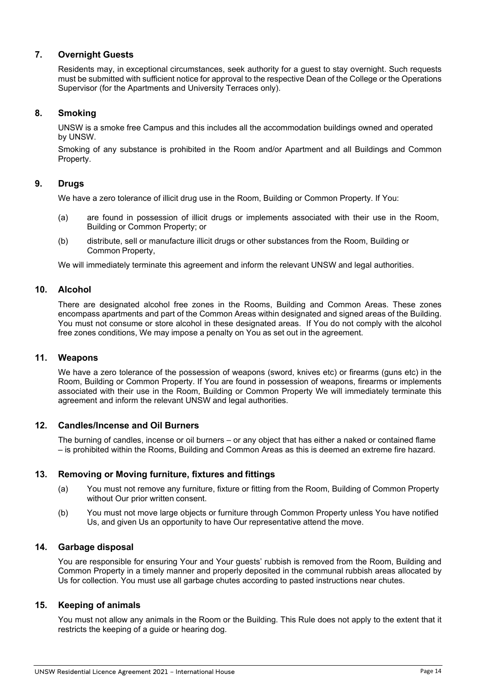# **7. Overnight Guests**

Residents may, in exceptional circumstances, seek authority for a guest to stay overnight. Such requests must be submitted with sufficient notice for approval to the respective Dean of the College or the Operations Supervisor (for the Apartments and University Terraces only).

# **8. Smoking**

UNSW is a smoke free Campus and this includes all the accommodation buildings owned and operated by UNSW.

Smoking of any substance is prohibited in the Room and/or Apartment and all Buildings and Common Property.

# **9. Drugs**

We have a zero tolerance of illicit drug use in the Room, Building or Common Property. If You:

- (a) are found in possession of illicit drugs or implements associated with their use in the Room, Building or Common Property; or
- (b) distribute, sell or manufacture illicit drugs or other substances from the Room, Building or Common Property,

We will immediately terminate this agreement and inform the relevant UNSW and legal authorities.

# **10. Alcohol**

There are designated alcohol free zones in the Rooms, Building and Common Areas. These zones encompass apartments and part of the Common Areas within designated and signed areas of the Building. You must not consume or store alcohol in these designated areas. If You do not comply with the alcohol free zones conditions, We may impose a penalty on You as set out in the agreement.

#### **11. Weapons**

We have a zero tolerance of the possession of weapons (sword, knives etc) or firearms (guns etc) in the Room, Building or Common Property. If You are found in possession of weapons, firearms or implements associated with their use in the Room, Building or Common Property We will immediately terminate this agreement and inform the relevant UNSW and legal authorities.

# **12. Candles/Incense and Oil Burners**

The burning of candles, incense or oil burners – or any object that has either a naked or contained flame – is prohibited within the Rooms, Building and Common Areas as this is deemed an extreme fire hazard.

# **13. Removing or Moving furniture, fixtures and fittings**

- (a) You must not remove any furniture, fixture or fitting from the Room, Building of Common Property without Our prior written consent.
- (b) You must not move large objects or furniture through Common Property unless You have notified Us, and given Us an opportunity to have Our representative attend the move.

#### **14. Garbage disposal**

You are responsible for ensuring Your and Your guests' rubbish is removed from the Room, Building and Common Property in a timely manner and properly deposited in the communal rubbish areas allocated by Us for collection. You must use all garbage chutes according to pasted instructions near chutes.

# **15. Keeping of animals**

You must not allow any animals in the Room or the Building. This Rule does not apply to the extent that it restricts the keeping of a guide or hearing dog.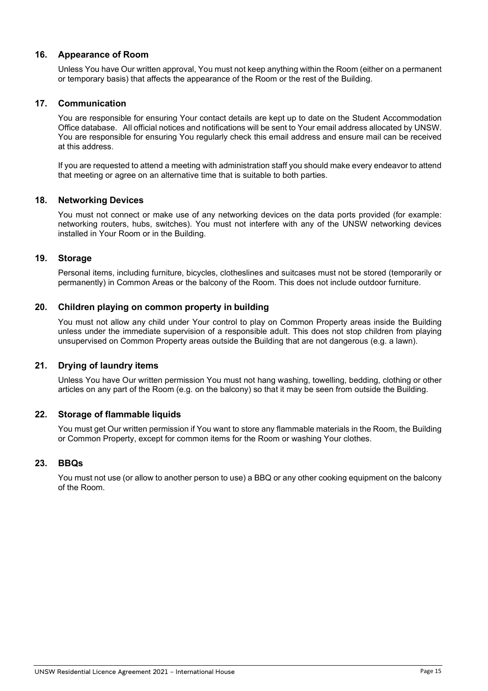# **16. Appearance of Room**

Unless You have Our written approval, You must not keep anything within the Room (either on a permanent or temporary basis) that affects the appearance of the Room or the rest of the Building.

# **17. Communication**

You are responsible for ensuring Your contact details are kept up to date on the Student Accommodation Office database. All official notices and notifications will be sent to Your email address allocated by UNSW. You are responsible for ensuring You regularly check this email address and ensure mail can be received at this address.

If you are requested to attend a meeting with administration staff you should make every endeavor to attend that meeting or agree on an alternative time that is suitable to both parties.

# **18. Networking Devices**

You must not connect or make use of any networking devices on the data ports provided (for example: networking routers, hubs, switches). You must not interfere with any of the UNSW networking devices installed in Your Room or in the Building.

# **19. Storage**

Personal items, including furniture, bicycles, clotheslines and suitcases must not be stored (temporarily or permanently) in Common Areas or the balcony of the Room. This does not include outdoor furniture.

# **20. Children playing on common property in building**

You must not allow any child under Your control to play on Common Property areas inside the Building unless under the immediate supervision of a responsible adult. This does not stop children from playing unsupervised on Common Property areas outside the Building that are not dangerous (e.g. a lawn).

# **21. Drying of laundry items**

Unless You have Our written permission You must not hang washing, towelling, bedding, clothing or other articles on any part of the Room (e.g. on the balcony) so that it may be seen from outside the Building.

#### **22. Storage of flammable liquids**

You must get Our written permission if You want to store any flammable materials in the Room, the Building or Common Property, except for common items for the Room or washing Your clothes.

#### **23. BBQs**

You must not use (or allow to another person to use) a BBQ or any other cooking equipment on the balcony of the Room.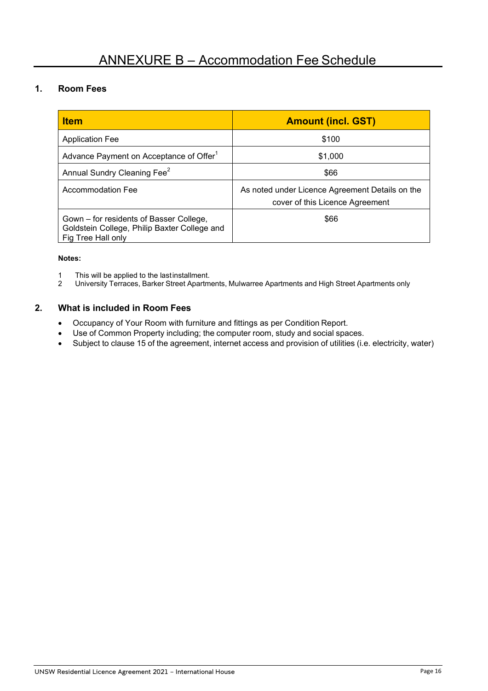# **1. Room Fees**

| <b>Item</b>                                                                                                   | <b>Amount (incl. GST)</b>                                                          |  |
|---------------------------------------------------------------------------------------------------------------|------------------------------------------------------------------------------------|--|
| <b>Application Fee</b>                                                                                        | \$100                                                                              |  |
| Advance Payment on Acceptance of Offer <sup>1</sup>                                                           | \$1,000                                                                            |  |
| Annual Sundry Cleaning Fee <sup>2</sup>                                                                       | \$66                                                                               |  |
| Accommodation Fee                                                                                             | As noted under Licence Agreement Details on the<br>cover of this Licence Agreement |  |
| Gown – for residents of Basser College,<br>Goldstein College, Philip Baxter College and<br>Fig Tree Hall only | \$66                                                                               |  |

#### **Notes:**

- 1 This will be applied to the lastinstallment.<br>2 University Terraces, Barker Street Apartm
- 2 University Terraces, Barker Street Apartments, Mulwarree Apartments and High Street Apartments only

# **2. What is included in Room Fees**

- Occupancy of Your Room with furniture and fittings as per Condition Report.
- Use of Common Property including; the computer room, study and social spaces.
- Subject to clause 15 of the agreement, internet access and provision of utilities (i.e. electricity, water)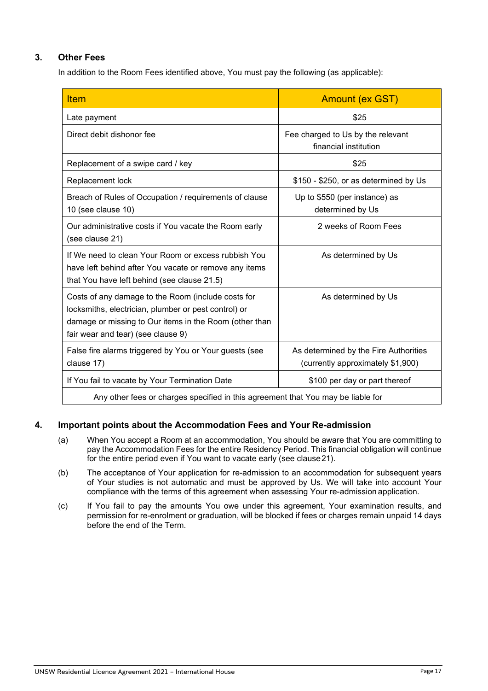# **3. Other Fees**

In addition to the Room Fees identified above, You must pay the following (as applicable):

| <b>Item</b>                                                                                                                                                                                                | <b>Amount (ex GST)</b>                                                     |  |  |  |
|------------------------------------------------------------------------------------------------------------------------------------------------------------------------------------------------------------|----------------------------------------------------------------------------|--|--|--|
| Late payment                                                                                                                                                                                               | \$25                                                                       |  |  |  |
| Direct debit dishonor fee                                                                                                                                                                                  | Fee charged to Us by the relevant<br>financial institution                 |  |  |  |
| Replacement of a swipe card / key                                                                                                                                                                          | \$25                                                                       |  |  |  |
| Replacement lock                                                                                                                                                                                           | \$150 - \$250, or as determined by Us                                      |  |  |  |
| Breach of Rules of Occupation / requirements of clause<br>10 (see clause 10)                                                                                                                               | Up to \$550 (per instance) as<br>determined by Us                          |  |  |  |
| Our administrative costs if You vacate the Room early<br>(see clause 21)                                                                                                                                   | 2 weeks of Room Fees                                                       |  |  |  |
| If We need to clean Your Room or excess rubbish You<br>have left behind after You vacate or remove any items<br>that You have left behind (see clause 21.5)                                                | As determined by Us                                                        |  |  |  |
| Costs of any damage to the Room (include costs for<br>locksmiths, electrician, plumber or pest control) or<br>damage or missing to Our items in the Room (other than<br>fair wear and tear) (see clause 9) | As determined by Us                                                        |  |  |  |
| False fire alarms triggered by You or Your guests (see<br>clause 17)                                                                                                                                       | As determined by the Fire Authorities<br>(currently approximately \$1,900) |  |  |  |
| If You fail to vacate by Your Termination Date                                                                                                                                                             | \$100 per day or part thereof                                              |  |  |  |
| Any other fees or sharpes aposition in this caresment that You may be lighterfor                                                                                                                           |                                                                            |  |  |  |

Any other fees or charges specified in this agreement that You may be liable for

# **4. Important points about the Accommodation Fees and Your Re-admission**

- (a) When You accept a Room at an accommodation, You should be aware that You are committing to pay the Accommodation Fees for the entire Residency Period. This financial obligation will continue for the entire period even if You want to vacate early (see clause21).
- (b) The acceptance of Your application for re-admission to an accommodation for subsequent years of Your studies is not automatic and must be approved by Us. We will take into account Your compliance with the terms of this agreement when assessing Your re-admission application.
- (c) If You fail to pay the amounts You owe under this agreement, Your examination results, and permission for re-enrolment or graduation, will be blocked if fees or charges remain unpaid 14 days before the end of the Term.